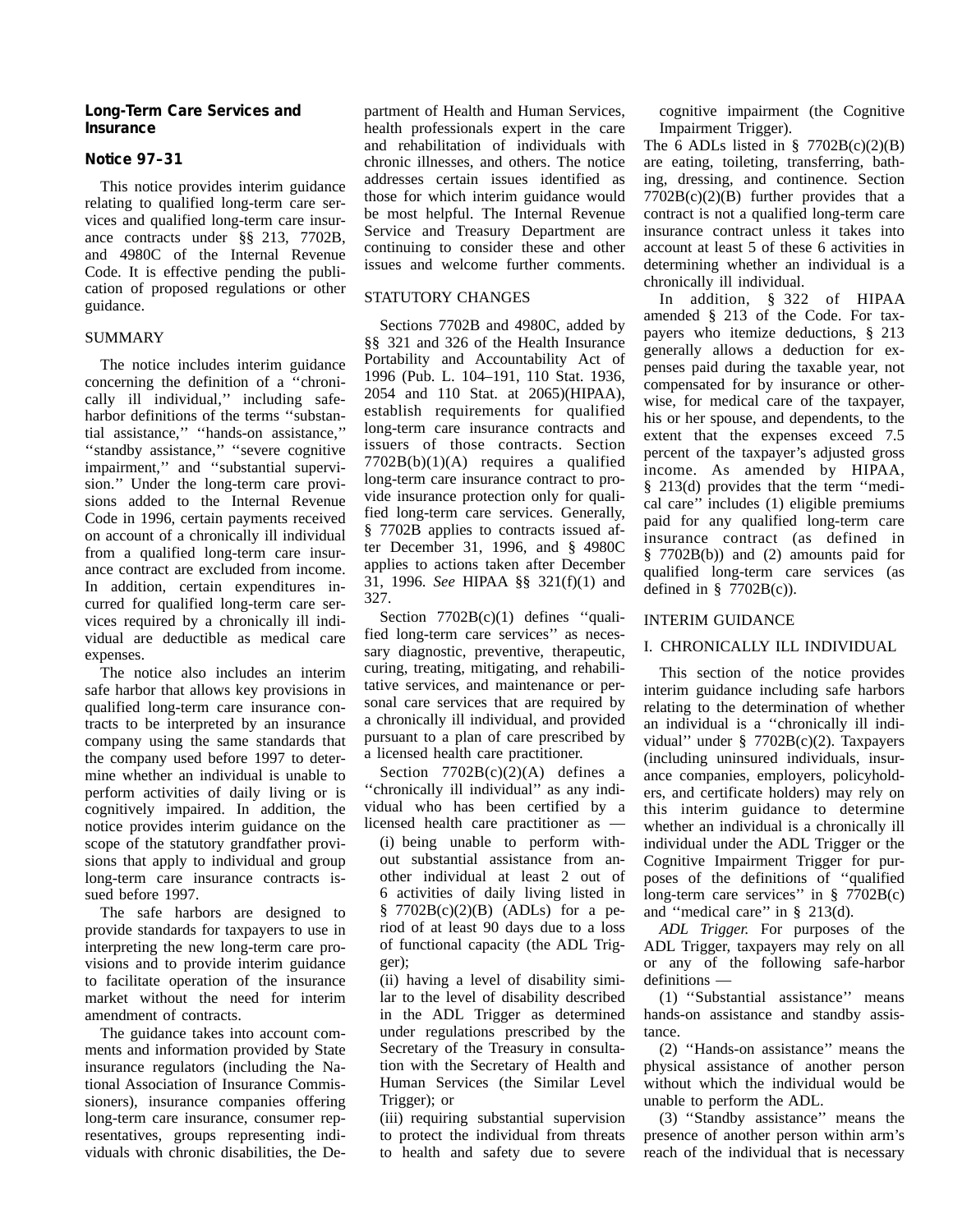### **Long-Term Care Services and Insurance**

## **Notice 97–31**

This notice provides interim guidance relating to qualified long-term care services and qualified long-term care insurance contracts under §§ 213, 7702B, and 4980C of the Internal Revenue Code. It is effective pending the publication of proposed regulations or other guidance.

### SUMMARY

The notice includes interim guidance concerning the definition of a ''chronically ill individual,'' including safeharbor definitions of the terms ''substantial assistance,'' ''hands-on assistance,'' ''standby assistance,'' ''severe cognitive impairment,'' and ''substantial supervision.'' Under the long-term care provisions added to the Internal Revenue Code in 1996, certain payments received on account of a chronically ill individual from a qualified long-term care insurance contract are excluded from income. In addition, certain expenditures incurred for qualified long-term care services required by a chronically ill individual are deductible as medical care expenses.

The notice also includes an interim safe harbor that allows key provisions in qualified long-term care insurance contracts to be interpreted by an insurance company using the same standards that the company used before 1997 to determine whether an individual is unable to perform activities of daily living or is cognitively impaired. In addition, the notice provides interim guidance on the scope of the statutory grandfather provisions that apply to individual and group long-term care insurance contracts issued before 1997.

The safe harbors are designed to provide standards for taxpayers to use in interpreting the new long-term care provisions and to provide interim guidance to facilitate operation of the insurance market without the need for interim amendment of contracts.

The guidance takes into account comments and information provided by State insurance regulators (including the National Association of Insurance Commissioners), insurance companies offering long-term care insurance, consumer representatives, groups representing individuals with chronic disabilities, the De-

partment of Health and Human Services, health professionals expert in the care and rehabilitation of individuals with chronic illnesses, and others. The notice addresses certain issues identified as those for which interim guidance would be most helpful. The Internal Revenue Service and Treasury Department are continuing to consider these and other issues and welcome further comments.

## STATUTORY CHANGES

Sections 7702B and 4980C, added by §§ 321 and 326 of the Health Insurance Portability and Accountability Act of 1996 (Pub. L. 104–191, 110 Stat. 1936, 2054 and 110 Stat. at 2065)(HIPAA), establish requirements for qualified long-term care insurance contracts and issuers of those contracts. Section 7702B(b)(1)(A) requires a qualified long-term care insurance contract to provide insurance protection only for qualified long-term care services. Generally, § 7702B applies to contracts issued after December 31, 1996, and § 4980C applies to actions taken after December 31, 1996. *See* HIPAA §§ 321(f)(1) and 327.

Section  $7702B(c)(1)$  defines "qualified long-term care services'' as necessary diagnostic, preventive, therapeutic, curing, treating, mitigating, and rehabilitative services, and maintenance or personal care services that are required by a chronically ill individual, and provided pursuant to a plan of care prescribed by a licensed health care practitioner.

Section  $7702B(c)(2)(A)$  defines a ''chronically ill individual'' as any individual who has been certified by a licensed health care practitioner as — (i) being unable to perform without substantial assistance from another individual at least 2 out of 6 activities of daily living listed in  $\frac{8}{9}$  7702B(c)(2)(B) (ADLs) for a period of at least 90 days due to a loss of functional capacity (the ADL Trig-

ger);

(ii) having a level of disability similar to the level of disability described in the ADL Trigger as determined under regulations prescribed by the Secretary of the Treasury in consultation with the Secretary of Health and Human Services (the Similar Level Trigger); or

(iii) requiring substantial supervision to protect the individual from threats to health and safety due to severe cognitive impairment (the Cognitive Impairment Trigger).

The 6 ADLs listed in  $\S$  7702B(c)(2)(B) are eating, toileting, transferring, bathing, dressing, and continence. Section  $7702B(c)(2)(B)$  further provides that a contract is not a qualified long-term care insurance contract unless it takes into account at least 5 of these 6 activities in determining whether an individual is a chronically ill individual.

In addition, § 322 of HIPAA amended § 213 of the Code. For taxpayers who itemize deductions, § 213 generally allows a deduction for expenses paid during the taxable year, not compensated for by insurance or otherwise, for medical care of the taxpayer, his or her spouse, and dependents, to the extent that the expenses exceed 7.5 percent of the taxpayer's adjusted gross income. As amended by HIPAA, § 213(d) provides that the term ''medical care'' includes (1) eligible premiums paid for any qualified long-term care insurance contract (as defined in § 7702B(b)) and (2) amounts paid for qualified long-term care services (as defined in  $\S$  7702B(c)).

## INTERIM GUIDANCE

# I. CHRONICALLY ILL INDIVIDUAL

This section of the notice provides interim guidance including safe harbors relating to the determination of whether an individual is a ''chronically ill individual'' under § 7702B(c)(2). Taxpayers (including uninsured individuals, insurance companies, employers, policyholders, and certificate holders) may rely on this interim guidance to determine whether an individual is a chronically ill individual under the ADL Trigger or the Cognitive Impairment Trigger for purposes of the definitions of ''qualified long-term care services'' in § 7702B(c) and ''medical care'' in § 213(d).

*ADL Trigger.* For purposes of the ADL Trigger, taxpayers may rely on all or any of the following safe-harbor definitions —

(1) ''Substantial assistance'' means hands-on assistance and standby assistance.

(2) ''Hands-on assistance'' means the physical assistance of another person without which the individual would be unable to perform the ADL.

(3) ''Standby assistance'' means the presence of another person within arm's reach of the individual that is necessary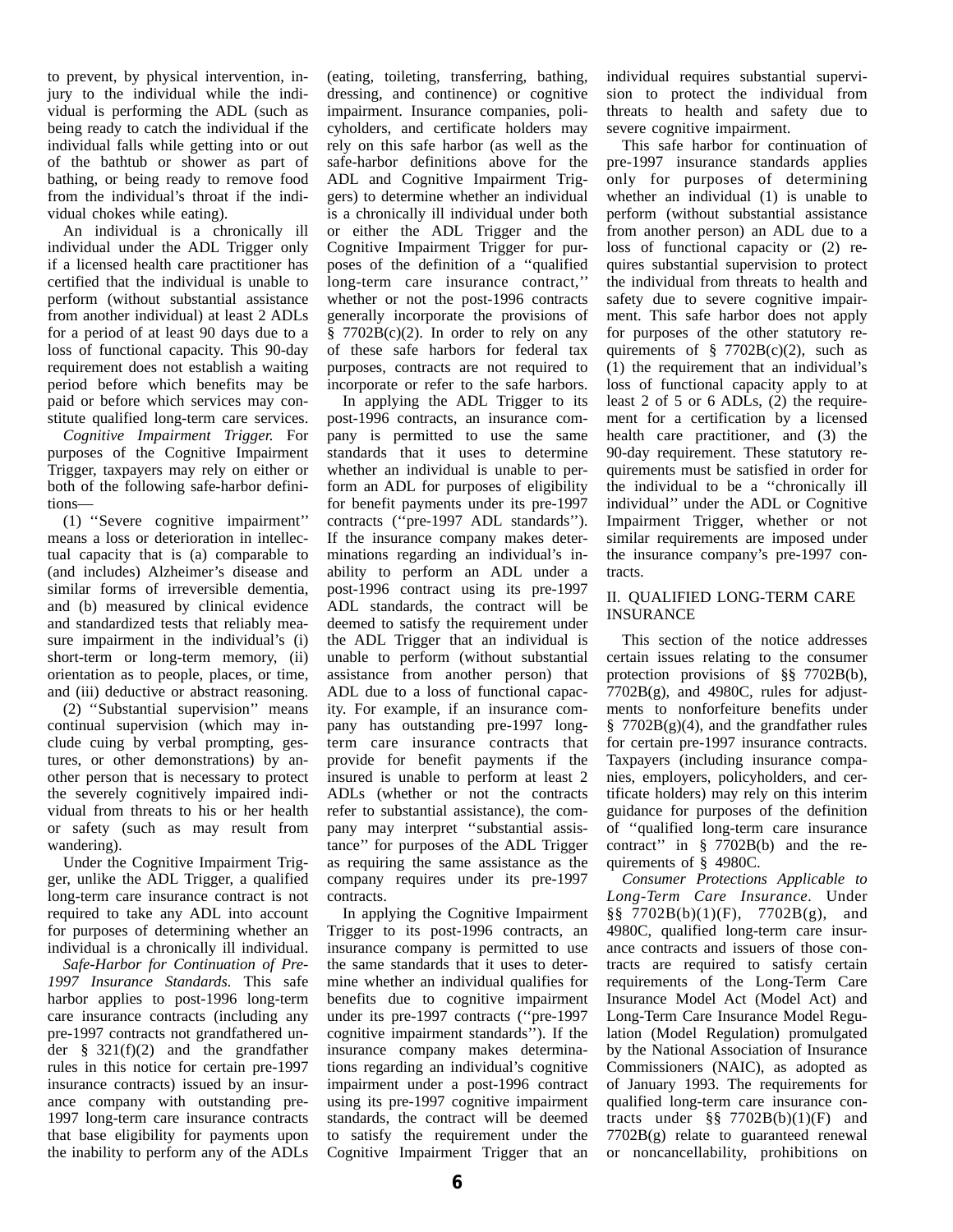to prevent, by physical intervention, injury to the individual while the individual is performing the ADL (such as being ready to catch the individual if the individual falls while getting into or out of the bathtub or shower as part of bathing, or being ready to remove food from the individual's throat if the individual chokes while eating).

An individual is a chronically ill individual under the ADL Trigger only if a licensed health care practitioner has certified that the individual is unable to perform (without substantial assistance from another individual) at least 2 ADLs for a period of at least 90 days due to a loss of functional capacity. This 90-day requirement does not establish a waiting period before which benefits may be paid or before which services may constitute qualified long-term care services.

*Cognitive Impairment Trigger.* For purposes of the Cognitive Impairment Trigger, taxpayers may rely on either or both of the following safe-harbor definitions—

(1) ''Severe cognitive impairment'' means a loss or deterioration in intellectual capacity that is (a) comparable to (and includes) Alzheimer's disease and similar forms of irreversible dementia, and (b) measured by clinical evidence and standardized tests that reliably measure impairment in the individual's (i) short-term or long-term memory, (ii) orientation as to people, places, or time, and (iii) deductive or abstract reasoning.

(2) ''Substantial supervision'' means continual supervision (which may include cuing by verbal prompting, gestures, or other demonstrations) by another person that is necessary to protect the severely cognitively impaired individual from threats to his or her health or safety (such as may result from wandering).

Under the Cognitive Impairment Trigger, unlike the ADL Trigger, a qualified long-term care insurance contract is not required to take any ADL into account for purposes of determining whether an individual is a chronically ill individual.

*Safe-Harbor for Continuation of Pre-1997 Insurance Standards.* This safe harbor applies to post-1996 long-term care insurance contracts (including any pre-1997 contracts not grandfathered under § 321(f)(2) and the grandfather rules in this notice for certain pre-1997 insurance contracts) issued by an insurance company with outstanding pre-1997 long-term care insurance contracts that base eligibility for payments upon the inability to perform any of the ADLs

(eating, toileting, transferring, bathing, dressing, and continence) or cognitive impairment. Insurance companies, policyholders, and certificate holders may rely on this safe harbor (as well as the safe-harbor definitions above for the ADL and Cognitive Impairment Triggers) to determine whether an individual is a chronically ill individual under both or either the ADL Trigger and the Cognitive Impairment Trigger for purposes of the definition of a ''qualified long-term care insurance contract,'' whether or not the post-1996 contracts generally incorporate the provisions of  $§ 7702B(c)(2)$ . In order to rely on any of these safe harbors for federal tax purposes, contracts are not required to incorporate or refer to the safe harbors.

In applying the ADL Trigger to its post-1996 contracts, an insurance company is permitted to use the same standards that it uses to determine whether an individual is unable to perform an ADL for purposes of eligibility for benefit payments under its pre-1997 contracts (''pre-1997 ADL standards''). If the insurance company makes determinations regarding an individual's inability to perform an ADL under a post-1996 contract using its pre-1997 ADL standards, the contract will be deemed to satisfy the requirement under the ADL Trigger that an individual is unable to perform (without substantial assistance from another person) that ADL due to a loss of functional capacity. For example, if an insurance company has outstanding pre-1997 longterm care insurance contracts that provide for benefit payments if the insured is unable to perform at least 2 ADLs (whether or not the contracts refer to substantial assistance), the company may interpret ''substantial assistance'' for purposes of the ADL Trigger as requiring the same assistance as the company requires under its pre-1997 contracts.

In applying the Cognitive Impairment Trigger to its post-1996 contracts, an insurance company is permitted to use the same standards that it uses to determine whether an individual qualifies for benefits due to cognitive impairment under its pre-1997 contracts (''pre-1997 cognitive impairment standards''). If the insurance company makes determinations regarding an individual's cognitive impairment under a post-1996 contract using its pre-1997 cognitive impairment standards, the contract will be deemed to satisfy the requirement under the Cognitive Impairment Trigger that an individual requires substantial supervision to protect the individual from threats to health and safety due to severe cognitive impairment.

This safe harbor for continuation of pre-1997 insurance standards applies only for purposes of determining whether an individual (1) is unable to perform (without substantial assistance from another person) an ADL due to a loss of functional capacity or (2) requires substantial supervision to protect the individual from threats to health and safety due to severe cognitive impairment. This safe harbor does not apply for purposes of the other statutory requirements of  $\S$  7702B(c)(2), such as (1) the requirement that an individual's loss of functional capacity apply to at least 2 of 5 or 6 ADLs, (2) the requirement for a certification by a licensed health care practitioner, and (3) the 90-day requirement. These statutory requirements must be satisfied in order for the individual to be a ''chronically ill individual'' under the ADL or Cognitive Impairment Trigger, whether or not similar requirements are imposed under the insurance company's pre-1997 contracts.

### II. QUALIFIED LONG-TERM CARE INSURANCE

This section of the notice addresses certain issues relating to the consumer protection provisions of §§ 7702B(b),  $7702B(g)$ , and 4980C, rules for adjustments to nonforfeiture benefits under  $\frac{8}{9}$  7702B(g)(4), and the grandfather rules for certain pre-1997 insurance contracts. Taxpayers (including insurance companies, employers, policyholders, and certificate holders) may rely on this interim guidance for purposes of the definition of ''qualified long-term care insurance contract'' in § 7702B(b) and the requirements of § 4980C.

*Consumer Protections Applicable to Long-Term Care Insurance.* Under §§ 7702B(b)(1)(F), 7702B(g), and 4980C, qualified long-term care insurance contracts and issuers of those contracts are required to satisfy certain requirements of the Long-Term Care Insurance Model Act (Model Act) and Long-Term Care Insurance Model Regulation (Model Regulation) promulgated by the National Association of Insurance Commissioners (NAIC), as adopted as of January 1993. The requirements for qualified long-term care insurance contracts under  $\S$  7702B(b)(1)(F) and 7702B(g) relate to guaranteed renewal or noncancellability, prohibitions on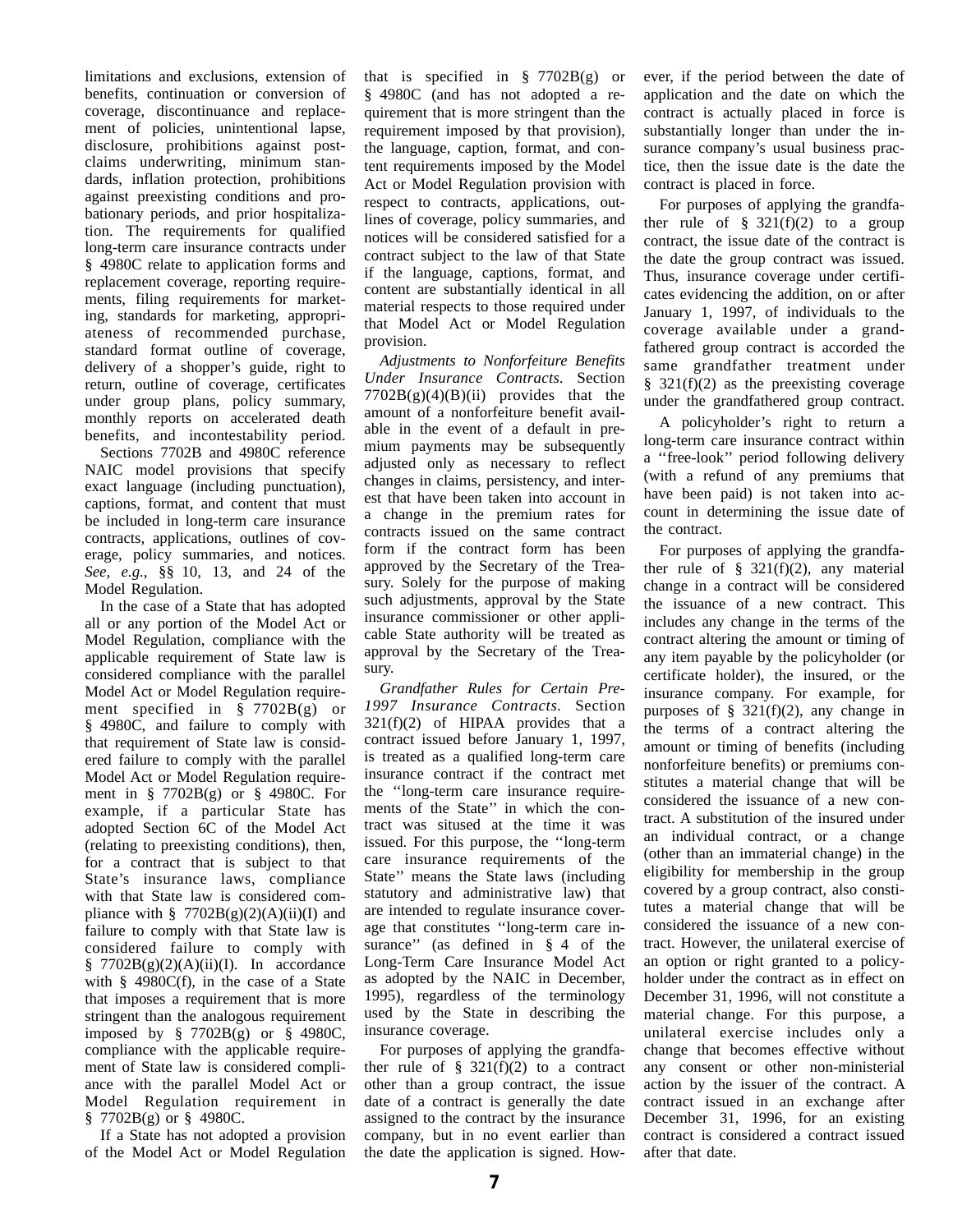limitations and exclusions, extension of benefits, continuation or conversion of coverage, discontinuance and replacement of policies, unintentional lapse, disclosure, prohibitions against postclaims underwriting, minimum standards, inflation protection, prohibitions against preexisting conditions and probationary periods, and prior hospitalization. The requirements for qualified long-term care insurance contracts under § 4980C relate to application forms and replacement coverage, reporting requirements, filing requirements for marketing, standards for marketing, appropriateness of recommended purchase, standard format outline of coverage, delivery of a shopper's guide, right to return, outline of coverage, certificates under group plans, policy summary, monthly reports on accelerated death benefits, and incontestability period.

Sections 7702B and 4980C reference NAIC model provisions that specify exact language (including punctuation), captions, format, and content that must be included in long-term care insurance contracts, applications, outlines of coverage, policy summaries, and notices. *See, e.g.*, §§ 10, 13, and 24 of the Model Regulation.

In the case of a State that has adopted all or any portion of the Model Act or Model Regulation, compliance with the applicable requirement of State law is considered compliance with the parallel Model Act or Model Regulation requirement specified in § 7702B(g) or § 4980C, and failure to comply with that requirement of State law is considered failure to comply with the parallel Model Act or Model Regulation requirement in § 7702B(g) or § 4980C. For example, if a particular State has adopted Section 6C of the Model Act (relating to preexisting conditions), then, for a contract that is subject to that State's insurance laws, compliance with that State law is considered compliance with §  $7702B(g)(2)(A)(ii)(I)$  and failure to comply with that State law is considered failure to comply with  $\frac{8}{9}$  7702B(g)(2)(A)(ii)(I). In accordance with  $§$  4980 $C(f)$ , in the case of a State that imposes a requirement that is more stringent than the analogous requirement imposed by § 7702B(g) or § 4980C, compliance with the applicable requirement of State law is considered compliance with the parallel Model Act or Model Regulation requirement in § 7702B(g) or § 4980C.

If a State has not adopted a provision of the Model Act or Model Regulation that is specified in  $\S$  7702B(g) or § 4980C (and has not adopted a requirement that is more stringent than the requirement imposed by that provision), the language, caption, format, and content requirements imposed by the Model Act or Model Regulation provision with respect to contracts, applications, outlines of coverage, policy summaries, and notices will be considered satisfied for a contract subject to the law of that State if the language, captions, format, and content are substantially identical in all material respects to those required under that Model Act or Model Regulation provision.

*Adjustments to Nonforfeiture Benefits Under Insurance Contracts.* Section  $7702B(g)(4)(B)(ii)$  provides that the amount of a nonforfeiture benefit available in the event of a default in premium payments may be subsequently adjusted only as necessary to reflect changes in claims, persistency, and interest that have been taken into account in a change in the premium rates for contracts issued on the same contract form if the contract form has been approved by the Secretary of the Treasury. Solely for the purpose of making such adjustments, approval by the State insurance commissioner or other applicable State authority will be treated as approval by the Secretary of the Treasury.

*Grandfather Rules for Certain Pre-1997 Insurance Contracts.* Section  $321(f)(2)$  of HIPAA provides that a contract issued before January 1, 1997, is treated as a qualified long-term care insurance contract if the contract met the ''long-term care insurance requirements of the State'' in which the contract was sitused at the time it was issued. For this purpose, the ''long-term care insurance requirements of the State'' means the State laws (including statutory and administrative law) that are intended to regulate insurance coverage that constitutes ''long-term care insurance" (as defined in § 4 of the Long-Term Care Insurance Model Act as adopted by the NAIC in December, 1995), regardless of the terminology used by the State in describing the insurance coverage.

For purposes of applying the grandfather rule of  $\S$  321(f)(2) to a contract other than a group contract, the issue date of a contract is generally the date assigned to the contract by the insurance company, but in no event earlier than the date the application is signed. How-

ever, if the period between the date of application and the date on which the contract is actually placed in force is substantially longer than under the insurance company's usual business practice, then the issue date is the date the contract is placed in force.

For purposes of applying the grandfather rule of  $\S$  321(f)(2) to a group contract, the issue date of the contract is the date the group contract was issued. Thus, insurance coverage under certificates evidencing the addition, on or after January 1, 1997, of individuals to the coverage available under a grandfathered group contract is accorded the same grandfather treatment under  $§$  321(f)(2) as the preexisting coverage under the grandfathered group contract.

A policyholder's right to return a long-term care insurance contract within a ''free-look'' period following delivery (with a refund of any premiums that have been paid) is not taken into account in determining the issue date of the contract.

For purposes of applying the grandfather rule of  $\S$  321(f)(2), any material change in a contract will be considered the issuance of a new contract. This includes any change in the terms of the contract altering the amount or timing of any item payable by the policyholder (or certificate holder), the insured, or the insurance company. For example, for purposes of  $\S$  321(f)(2), any change in the terms of a contract altering the amount or timing of benefits (including nonforfeiture benefits) or premiums constitutes a material change that will be considered the issuance of a new contract. A substitution of the insured under an individual contract, or a change (other than an immaterial change) in the eligibility for membership in the group covered by a group contract, also constitutes a material change that will be considered the issuance of a new contract. However, the unilateral exercise of an option or right granted to a policyholder under the contract as in effect on December 31, 1996, will not constitute a material change. For this purpose, a unilateral exercise includes only a change that becomes effective without any consent or other non-ministerial action by the issuer of the contract. A contract issued in an exchange after December 31, 1996, for an existing contract is considered a contract issued after that date.